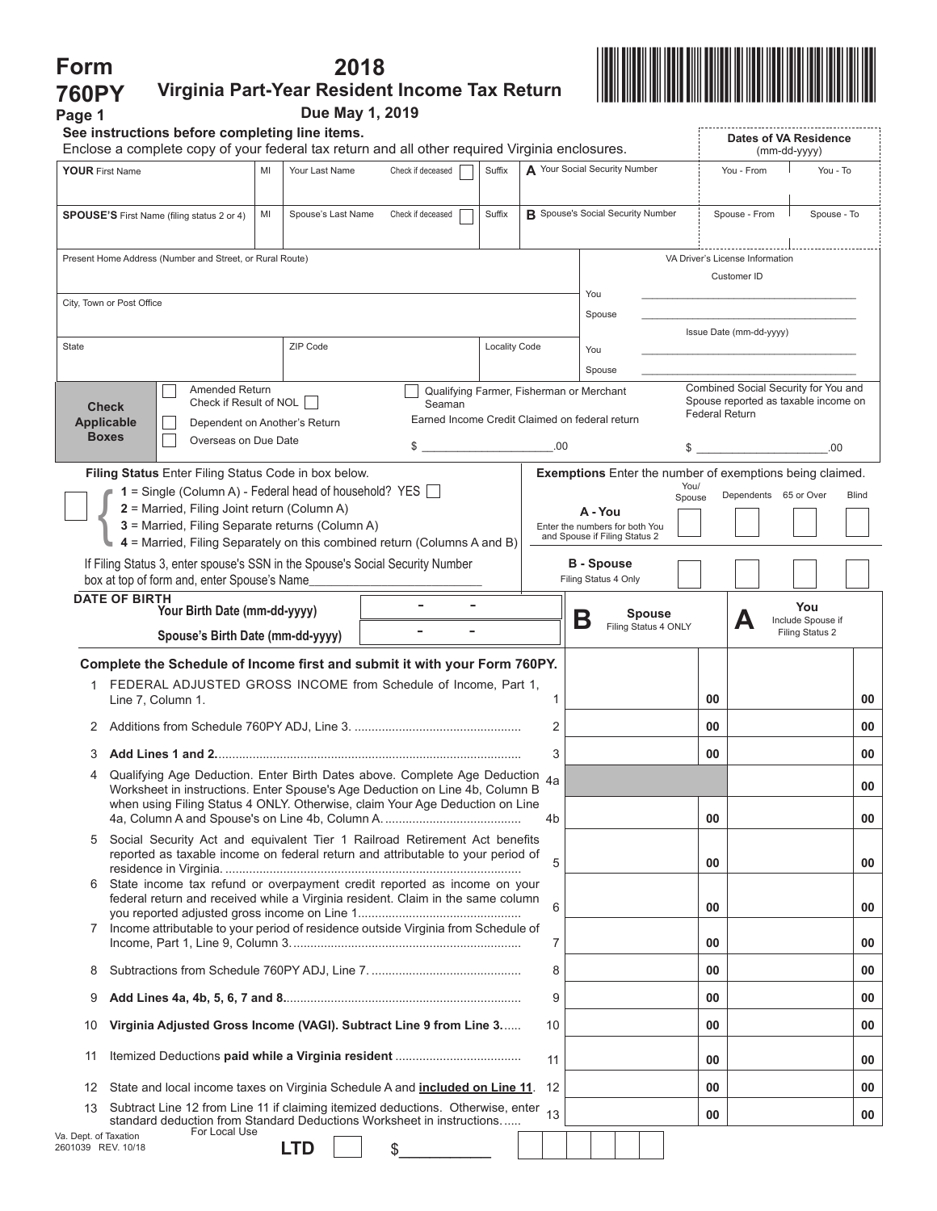| Form                                                                                                                         |                                                                                                                                                              |                                                           | 2018               |                                                          |                                           |                                          |                                       |                               |    |                                      |                                                                 |              |              |
|------------------------------------------------------------------------------------------------------------------------------|--------------------------------------------------------------------------------------------------------------------------------------------------------------|-----------------------------------------------------------|--------------------|----------------------------------------------------------|-------------------------------------------|------------------------------------------|---------------------------------------|-------------------------------|----|--------------------------------------|-----------------------------------------------------------------|--------------|--------------|
| <b>760PY</b>                                                                                                                 |                                                                                                                                                              |                                                           |                    | Virginia Part-Year Resident Income Tax Return            |                                           |                                          |                                       |                               |    |                                      |                                                                 |              |              |
| Page 1                                                                                                                       | See instructions before completing line items.                                                                                                               |                                                           | Due May 1, 2019    |                                                          |                                           |                                          |                                       |                               |    |                                      |                                                                 |              |              |
|                                                                                                                              | Enclose a complete copy of your federal tax return and all other required Virginia enclosures.                                                               |                                                           |                    |                                                          |                                           |                                          |                                       |                               |    |                                      | Dates of VA Residence                                           | (mm-dd-yyyy) |              |
| <b>YOUR First Name</b>                                                                                                       |                                                                                                                                                              | MI<br>Your Last Name                                      |                    | Check if deceased                                        | Suffix                                    |                                          | A Your Social Security Number         |                               |    | You - From                           |                                                                 | You - To     |              |
|                                                                                                                              | <b>SPOUSE'S</b> First Name (filing status 2 or 4)                                                                                                            | MI                                                        | Spouse's Last Name | Check if deceased                                        | Suffix                                    | <b>R</b> Spouse's Social Security Number |                                       |                               |    |                                      | Spouse - From                                                   |              | Spouse - To  |
|                                                                                                                              | Present Home Address (Number and Street, or Rural Route)                                                                                                     |                                                           |                    |                                                          |                                           |                                          |                                       |                               |    |                                      | VA Driver's License Information<br>Customer ID                  |              |              |
|                                                                                                                              | City, Town or Post Office                                                                                                                                    |                                                           |                    |                                                          |                                           |                                          | You<br>Spouse                         |                               |    |                                      |                                                                 |              |              |
|                                                                                                                              |                                                                                                                                                              |                                                           |                    |                                                          |                                           |                                          |                                       |                               |    |                                      | Issue Date (mm-dd-yyyy)                                         |              |              |
| State                                                                                                                        |                                                                                                                                                              | ZIP Code                                                  |                    |                                                          | <b>Locality Code</b>                      |                                          | You                                   |                               |    |                                      |                                                                 |              |              |
|                                                                                                                              | <b>Amended Return</b>                                                                                                                                        |                                                           |                    | Qualifying Farmer, Fisherman or Merchant                 |                                           |                                          | Spouse                                |                               |    |                                      | Combined Social Security for You and                            |              |              |
|                                                                                                                              | <b>Check</b><br><b>Applicable</b>                                                                                                                            | Check if Result of NOL  <br>Dependent on Another's Return |                    | Seaman<br>Earned Income Credit Claimed on federal return |                                           |                                          |                                       |                               |    |                                      | Spouse reported as taxable income on<br><b>Federal Return</b>   |              |              |
|                                                                                                                              | <b>Boxes</b><br>Overseas on Due Date                                                                                                                         |                                                           |                    | $\sim$ $\sim$                                            |                                           | .00                                      |                                       |                               |    | \$                                   |                                                                 |              | .00.         |
|                                                                                                                              | Filing Status Enter Filing Status Code in box below.                                                                                                         |                                                           |                    |                                                          |                                           |                                          |                                       |                               |    |                                      | <b>Exemptions</b> Enter the number of exemptions being claimed. |              |              |
|                                                                                                                              | $1 =$ Single (Column A) - Federal head of household? YES $\Box$                                                                                              |                                                           |                    |                                                          |                                           |                                          |                                       |                               |    | You/<br>Spouse                       | Dependents 65 or Over                                           |              | <b>Blind</b> |
| 2 = Married, Filing Joint return (Column A)<br>3 = Married, Filing Separate returns (Column A)                               |                                                                                                                                                              |                                                           |                    |                                                          | A - You<br>Enter the numbers for both You |                                          |                                       |                               |    |                                      |                                                                 |              |              |
|                                                                                                                              | 4 = Married, Filing Separately on this combined return (Columns A and B)                                                                                     |                                                           |                    |                                                          |                                           |                                          |                                       | and Spouse if Filing Status 2 |    |                                      |                                                                 |              |              |
| If Filing Status 3, enter spouse's SSN in the Spouse's Social Security Number<br>box at top of form and, enter Spouse's Name |                                                                                                                                                              |                                                           |                    |                                                          |                                           |                                          | <b>B</b> - Spouse                     | Filing Status 4 Only          |    |                                      |                                                                 |              |              |
|                                                                                                                              | <b>DATE OF BIRTH</b>                                                                                                                                         |                                                           |                    |                                                          |                                           |                                          |                                       |                               |    |                                      |                                                                 | You          |              |
| Your Birth Date (mm-dd-yyyy)<br>Spouse's Birth Date (mm-dd-yyyy)                                                             |                                                                                                                                                              |                                                           |                    |                                                          | Β                                         |                                          | <b>Spouse</b><br>Filing Status 4 ONLY |                               | Д  | Include Spouse if<br>Filing Status 2 |                                                                 |              |              |
|                                                                                                                              | Complete the Schedule of Income first and submit it with your Form 760PY.                                                                                    |                                                           |                    |                                                          |                                           |                                          |                                       |                               |    |                                      |                                                                 |              |              |
|                                                                                                                              | 1 FEDERAL ADJUSTED GROSS INCOME from Schedule of Income, Part 1.<br>Line 7, Column 1.                                                                        |                                                           |                    |                                                          |                                           | 1                                        |                                       |                               |    | 00                                   |                                                                 |              | 00           |
|                                                                                                                              |                                                                                                                                                              |                                                           |                    |                                                          | 2                                         |                                          |                                       |                               | 00 |                                      |                                                                 | 00           |              |
| 3                                                                                                                            |                                                                                                                                                              |                                                           |                    |                                                          | 3                                         |                                          |                                       |                               | 00 |                                      |                                                                 | 00           |              |
| Qualifying Age Deduction. Enter Birth Dates above. Complete Age Deduction 4a<br>4                                            |                                                                                                                                                              |                                                           |                    |                                                          |                                           |                                          |                                       |                               |    |                                      |                                                                 |              |              |
|                                                                                                                              | Worksheet in instructions. Enter Spouse's Age Deduction on Line 4b, Column B<br>when using Filing Status 4 ONLY. Otherwise, claim Your Age Deduction on Line |                                                           |                    |                                                          | 4b                                        |                                          |                                       |                               | 00 |                                      |                                                                 | 00<br>00     |              |
| 5                                                                                                                            | Social Security Act and equivalent Tier 1 Railroad Retirement Act benefits                                                                                   |                                                           |                    |                                                          |                                           |                                          |                                       |                               |    |                                      |                                                                 |              |              |
| 6                                                                                                                            | reported as taxable income on federal return and attributable to your period of<br>State income tax refund or overpayment credit reported as income on your  |                                                           |                    |                                                          |                                           | 5                                        |                                       |                               |    | 00                                   |                                                                 |              | 00           |
|                                                                                                                              | federal return and received while a Virginia resident. Claim in the same column                                                                              |                                                           |                    |                                                          |                                           | 6                                        |                                       |                               |    | 00                                   |                                                                 |              | 00           |
| Income attributable to your period of residence outside Virginia from Schedule of<br>7                                       |                                                                                                                                                              |                                                           |                    |                                                          |                                           | 7                                        |                                       |                               |    | 00                                   |                                                                 |              | 00           |
| 8                                                                                                                            |                                                                                                                                                              |                                                           |                    |                                                          |                                           | 8                                        |                                       |                               |    | 00                                   |                                                                 |              | 00           |
| 9                                                                                                                            |                                                                                                                                                              |                                                           |                    |                                                          |                                           | 9                                        |                                       |                               |    | 00                                   |                                                                 |              | 00           |
| Virginia Adjusted Gross Income (VAGI). Subtract Line 9 from Line 3<br>10                                                     |                                                                                                                                                              |                                                           |                    |                                                          | 10                                        |                                          |                                       |                               | 00 |                                      |                                                                 | 00           |              |
| 11                                                                                                                           |                                                                                                                                                              |                                                           |                    |                                                          |                                           | 11                                       |                                       |                               |    | 00                                   |                                                                 |              | 00           |
| 12                                                                                                                           | State and local income taxes on Virginia Schedule A and <b>included on Line 11</b> .                                                                         |                                                           |                    |                                                          |                                           | 12                                       |                                       |                               |    | 00                                   |                                                                 |              | 00           |
| 13                                                                                                                           | Subtract Line 12 from Line 11 if claiming itemized deductions. Otherwise, enter<br>standard deduction from Standard Deductions Worksheet in instructions     |                                                           |                    |                                                          |                                           | 13                                       |                                       |                               |    | 00                                   |                                                                 |              | 00           |
| Va. Dept. of Taxation<br>2601039 REV. 10/18                                                                                  | For Local Use                                                                                                                                                | <b>LTD</b>                                                |                    | \$                                                       |                                           |                                          |                                       |                               |    |                                      |                                                                 |              |              |